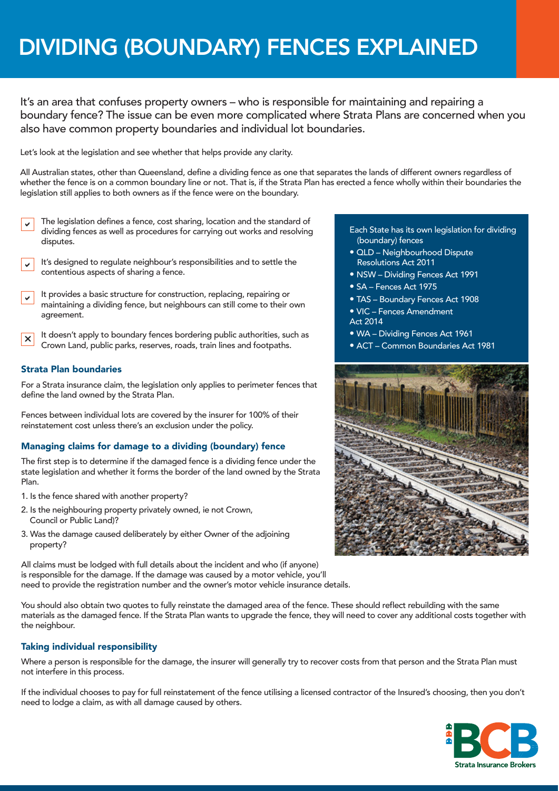# DIVIDING (BOUNDARY) FENCES EXPLAINED

It's an area that confuses property owners – who is responsible for maintaining and repairing a boundary fence? The issue can be even more complicated where Strata Plans are concerned when you also have common property boundaries and individual lot boundaries.

Let's look at the legislation and see whether that helps provide any clarity.

All Australian states, other than Queensland, define a dividing fence as one that separates the lands of different owners regardless of whether the fence is on a common boundary line or not. That is, if the Strata Plan has erected a fence wholly within their boundaries the legislation still applies to both owners as if the fence were on the boundary.

- $\checkmark$ The legislation defines a fence, cost sharing, location and the standard of dividing fences as well as procedures for carrying out works and resolving disputes.
- $\checkmark$ It's designed to regulate neighbour's responsibilities and to settle the contentious aspects of sharing a fence.
- $\checkmark$ It provides a basic structure for construction, replacing, repairing or maintaining a dividing fence, but neighbours can still come to their own agreement.
- $\mathsf{\times}$ It doesn't apply to boundary fences bordering public authorities, such as Crown Land, public parks, reserves, roads, train lines and footpaths.

## Strata Plan boundaries

For a Strata insurance claim, the legislation only applies to perimeter fences that define the land owned by the Strata Plan.

Fences between individual lots are covered by the insurer for 100% of their reinstatement cost unless there's an exclusion under the policy.

### Managing claims for damage to a dividing (boundary) fence

The first step is to determine if the damaged fence is a dividing fence under the state legislation and whether it forms the border of the land owned by the Strata Plan.

- 1. Is the fence shared with another property?
- 2. Is the neighbouring property privately owned, ie not Crown, Council or Public Land)?
- 3. Was the damage caused deliberately by either Owner of the adjoining property?

All claims must be lodged with full details about the incident and who (if anyone) is responsible for the damage. If the damage was caused by a motor vehicle, you'll need to provide the registration number and the owner's motor vehicle insurance details.

You should also obtain two quotes to fully reinstate the damaged area of the fence. These should reflect rebuilding with the same materials as the damaged fence. If the Strata Plan wants to upgrade the fence, they will need to cover any additional costs together with the neighbour.

### Taking individual responsibility

Where a person is responsible for the damage, the insurer will generally try to recover costs from that person and the Strata Plan must not interfere in this process.

If the individual chooses to pay for full reinstatement of the fence utilising a licensed contractor of the Insured's choosing, then you don't need to lodge a claim, as with all damage caused by others.



- Each State has its own legislation for dividing (boundary) fences
- QLD Neighbourhood Dispute Resolutions Act 2011
- NSW Dividing Fences Act 1991
- SA Fences Act 1975
- TAS Boundary Fences Act 1908
- VIC Fences Amendment
- Act 2014
- WA Dividing Fences Act 1961
- ACT Common Boundaries Act 1981